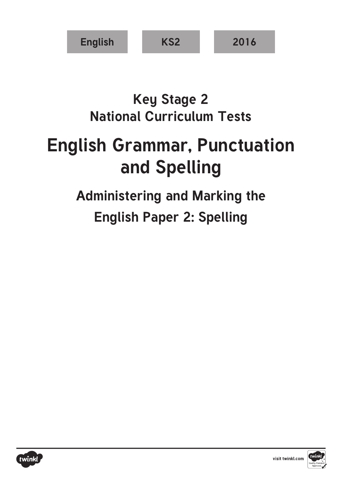

## **Key Stage 2 National Curriculum Tests**

# **English Grammar, Punctuation and Spelling**

## **Administering and Marking the English Paper 2: Spelling**



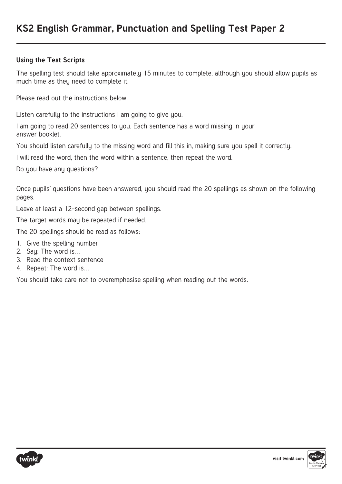#### **Using the Test Scripts**

The spelling test should take approximately 15 minutes to complete, although you should allow pupils as much time as they need to complete it.

Please read out the instructions below.

Listen carefully to the instructions I am going to give you.

I am going to read 20 sentences to you. Each sentence has a word missing in your answer booklet.

You should listen carefully to the missing word and fill this in, making sure you spell it correctly.

I will read the word, then the word within a sentence, then repeat the word.

Do you have any questions?

Once pupils' questions have been answered, you should read the 20 spellings as shown on the following pages.

Leave at least a 12-second gap between spellings.

The target words may be repeated if needed.

The 20 spellings should be read as follows:

- 1. Give the spelling number
- 2. Say: The word is…
- 3. Read the context sentence
- 4. Repeat: The word is…

You should take care not to overemphasise spelling when reading out the words.



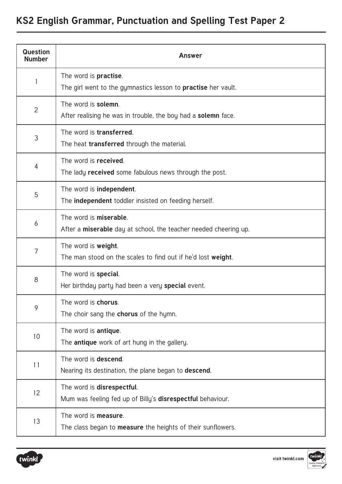| <b>Question</b><br><b>Number</b> | <b>Answer</b>                                                                                         |  |  |  |
|----------------------------------|-------------------------------------------------------------------------------------------------------|--|--|--|
|                                  | The word is <b>practise</b> .<br>The girl went to the gymnastics lesson to <b>practise</b> her vault. |  |  |  |
| $\overline{2}$                   | The word is solemn.<br>After realising he was in trouble, the boy had a <b>solemn</b> face.           |  |  |  |
| 3                                | The word is <b>transferred</b> .<br>The heat <b>transferred</b> through the material.                 |  |  |  |
| 4                                | The word is received.<br>The lady <b>received</b> some fabulous news through the post.                |  |  |  |
| 5                                | The word is <b>independent</b> .<br>The <b>independent</b> toddler insisted on feeding herself.       |  |  |  |
| 6                                | The word is <b>miserable</b> .<br>After a miserable day at school, the teacher needed cheering up.    |  |  |  |
| $\overline{7}$                   | The word is weight.<br>The man stood on the scales to find out if he'd lost weight.                   |  |  |  |
| 8                                | The word is <b>special</b> .<br>Her birthday party had been a very special event.                     |  |  |  |
| 9                                | The word is chorus.<br>The choir sang the <b>chorus</b> of the hymn.                                  |  |  |  |
| 10                               | The word is <b>antique</b> .<br>The antique work of art hung in the gallery.                          |  |  |  |
| 11                               | The word is descend.<br>Nearing its destination, the plane began to <b>descend</b> .                  |  |  |  |
| 12                               | The word is disrespectful.<br>Mum was feeling fed up of Billy's disrespectful behaviour.              |  |  |  |
| 13                               | The word is <b>measure</b> .<br>The class began to <b>measure</b> the heights of their sunflowers.    |  |  |  |



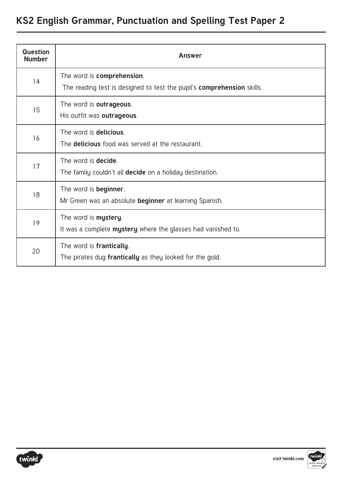| <b>Question</b><br><b>Number</b> | <b>Answer</b>                                                                                               |  |  |
|----------------------------------|-------------------------------------------------------------------------------------------------------------|--|--|
| 14                               | The word is comprehension.<br>The reading test is designed to test the pupil's <b>comprehension</b> skills. |  |  |
| 15                               | The word is outrageous.<br>His outfit was outrageous.                                                       |  |  |
| 16                               | The word is delicious.<br>The <b>delicious</b> food was served at the restaurant.                           |  |  |
| 17                               | The word is <b>decide</b> .<br>The family couldn't all <b>decide</b> on a holiday destination.              |  |  |
| 18                               | The word is <b>beginner</b> .<br>Mr Green was an absolute <b>beginner</b> at learning Spanish.              |  |  |
| 19                               | The word is mystery.<br>It was a complete mystery where the glasses had vanished to.                        |  |  |
| 20                               | The word is frantically.<br>The pirates dug frantically as they looked for the gold.                        |  |  |

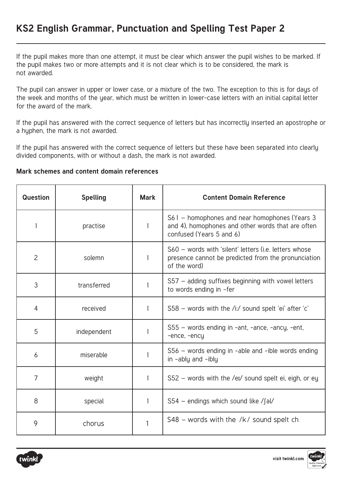If the pupil makes more than one attempt, it must be clear which answer the pupil wishes to be marked. If the pupil makes two or more attempts and it is not clear which is to be considered, the mark is not awarded.

The pupil can answer in upper or lower case, or a mixture of the two. The exception to this is for days of the week and months of the year, which must be written in lower-case letters with an initial capital letter for the award of the mark.

If the pupil has answered with the correct sequence of letters but has incorrectly inserted an apostrophe or a hyphen, the mark is not awarded.

If the pupil has answered with the correct sequence of letters but these have been separated into clearly divided components, with or without a dash, the mark is not awarded.

#### **Mark schemes and content domain references**

| <b>Question</b> | <b>Spelling</b> | <b>Mark</b> | <b>Content Domain Reference</b>                                                                                                 |
|-----------------|-----------------|-------------|---------------------------------------------------------------------------------------------------------------------------------|
|                 | practise        | 1           | S61 – homophones and near homophones (Years 3)<br>and 4), homophones and other words that are often<br>confused (Years 5 and 6) |
| $\overline{2}$  | solemn          | 1           | S60 - words with 'silent' letters (i.e. letters whose<br>presence cannot be predicted from the pronunciation<br>of the word)    |
| 3               | transferred     |             | S57 - adding suffixes beginning with vowel letters<br>to words ending in -fer                                                   |
| 4               | received        |             | $S58$ – words with the /i:/ sound spelt 'ei' after 'c'                                                                          |
| 5               | independent     |             | S55 – words ending in -ant, -ance, -ancy, -ent,<br>-ence, -ency                                                                 |
| 6               | miserable       |             | $S56$ – words ending in -able and -ible words ending<br>$in -ably$ and $-ibly$                                                  |
| $\overline{7}$  | weight          | 1           | S52 - words with the /ei/ sound spelt ei, eigh, or ey                                                                           |
| 8               | special         |             | $S54$ – endings which sound like /fal/                                                                                          |
| 9               | chorus          | 1           | $S48$ – words with the /k/ sound spelt ch                                                                                       |